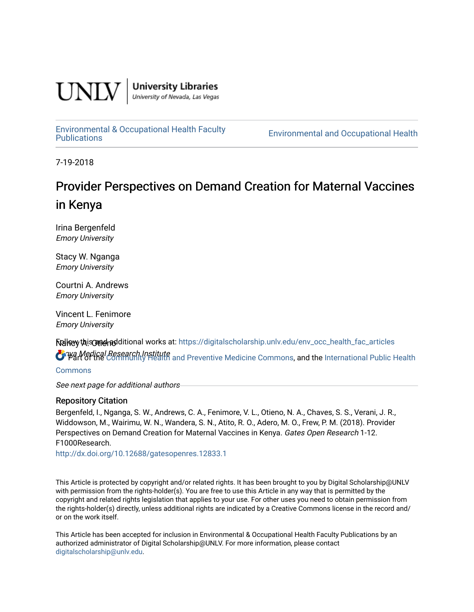

**University Libraries**<br>University of Nevada, Las Vegas

[Environmental & Occupational Health Faculty](https://digitalscholarship.unlv.edu/env_occ_health_fac_articles)

**Environmental and Occupational Health** 

7-19-2018

# Provider Perspectives on Demand Creation for Maternal Vaccines in Kenya

Irina Bergenfeld Emory University

Stacy W. Nganga Emory University

Courtni A. Andrews Emory University

Vincent L. Fenimore Emory University

Nancy A. Otieno Follow this and additional works at: [https://digitalscholarship.unlv.edu/env\\_occ\\_health\\_fac\\_articles](https://digitalscholarship.unlv.edu/env_occ_health_fac_articles?utm_source=digitalscholarship.unlv.edu%2Fenv_occ_health_fac_articles%2F349&utm_medium=PDF&utm_campaign=PDFCoverPages) 

**O** Wa Medical Research Institute<br>O Wart of the [Community Health and Preventive Medicine Commons](http://network.bepress.com/hgg/discipline/744?utm_source=digitalscholarship.unlv.edu%2Fenv_occ_health_fac_articles%2F349&utm_medium=PDF&utm_campaign=PDFCoverPages), and the International Public Health

[Commons](http://network.bepress.com/hgg/discipline/746?utm_source=digitalscholarship.unlv.edu%2Fenv_occ_health_fac_articles%2F349&utm_medium=PDF&utm_campaign=PDFCoverPages)

See next page for additional authors

# Repository Citation

Bergenfeld, I., Nganga, S. W., Andrews, C. A., Fenimore, V. L., Otieno, N. A., Chaves, S. S., Verani, J. R., Widdowson, M., Wairimu, W. N., Wandera, S. N., Atito, R. O., Adero, M. O., Frew, P. M. (2018). Provider Perspectives on Demand Creation for Maternal Vaccines in Kenya. Gates Open Research 1-12. F1000Research.

<http://dx.doi.org/10.12688/gatesopenres.12833.1>

This Article is protected by copyright and/or related rights. It has been brought to you by Digital Scholarship@UNLV with permission from the rights-holder(s). You are free to use this Article in any way that is permitted by the copyright and related rights legislation that applies to your use. For other uses you need to obtain permission from the rights-holder(s) directly, unless additional rights are indicated by a Creative Commons license in the record and/ or on the work itself.

This Article has been accepted for inclusion in Environmental & Occupational Health Faculty Publications by an authorized administrator of Digital Scholarship@UNLV. For more information, please contact [digitalscholarship@unlv.edu](mailto:digitalscholarship@unlv.edu).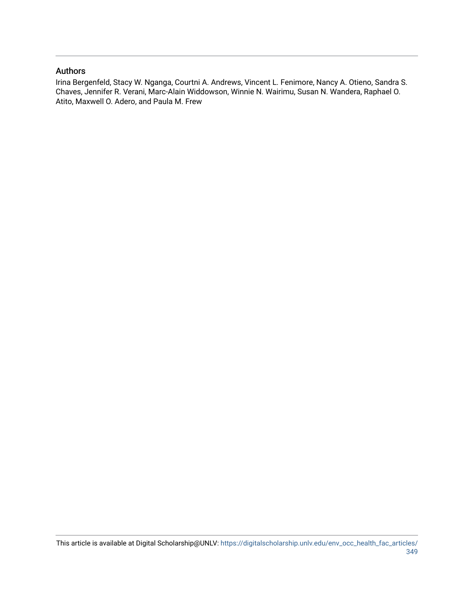# Authors

Irina Bergenfeld, Stacy W. Nganga, Courtni A. Andrews, Vincent L. Fenimore, Nancy A. Otieno, Sandra S. Chaves, Jennifer R. Verani, Marc-Alain Widdowson, Winnie N. Wairimu, Susan N. Wandera, Raphael O. Atito, Maxwell O. Adero, and Paula M. Frew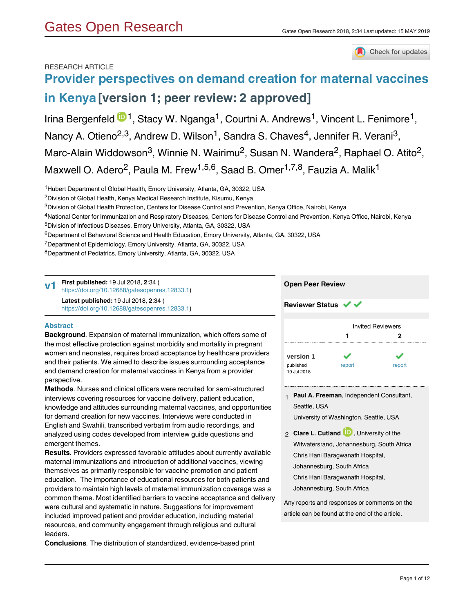# Check for updates

## RESEARCH ARTICLE

# **[Provider perspectives on demand creation for maternal vaccines](https://gatesopenresearch.org/articles/2-34/v1) [in Kenya](https://gatesopenresearch.org/articles/2-34/v1) [version 1; peer review: 2 approved]**

# Irina Bergenfeld <sup>1</sup>D<sup>1</sup>, Stacy W. Nganga<sup>1</sup>, Courtni A. Andrews<sup>1</sup>, Vincent L. Fenimore<sup>1</sup>, Nancy A. Otieno<sup>2,3</sup>, Andrew D. Wilson<sup>1</sup>, Sandra S. Chaves<sup>4</sup>, Jennifer R. Verani<sup>3</sup>, Marc-Alain Widdowson<sup>3</sup>, Winnie N. Wairimu<sup>2</sup>, Susan N. Wandera<sup>2</sup>, Raphael O. Atito<sup>2</sup>, Maxwell O. Adero<sup>2</sup>, Paula M. Frew<sup>1,5,6</sup>, Saad B. Omer<sup>1,7,8</sup>, Fauzia A. Malik<sup>1</sup>

<sup>1</sup>Hubert Department of Global Health, Emory University, Atlanta, GA, 30322, USA

- <sup>2</sup>Division of Global Health, Kenya Medical Research Institute, Kisumu, Kenya
- $^3$ Division of Global Health Protection, Centers for Disease Control and Prevention, Kenya Office, Nairobi, Kenya
- <sup>4</sup>National Center for Immunization and Respiratory Diseases, Centers for Disease Control and Prevention, Kenya Office, Nairobi, Kenya
- <sup>5</sup>Division of Infectious Diseases, Emory University, Atlanta, GA, 30322, USA
- $\rm ^6$ Department of Behavioral Science and Health Education, Emory University, Atlanta, GA, 30322, USA
- <sup>7</sup>Department of Epidemiology, Emory University, Atlanta, GA, 30322, USA
- <sup>8</sup>Department of Pediatrics, Emory University, Atlanta, GA, 30322, USA

**First published:** 19 Jul 2018, **2**:34 ( [https://doi.org/10.12688/gatesopenres.12833.1\)](https://doi.org/10.12688/gatesopenres.12833.1) **Latest published:** 19 Jul 2018, **2**:34 ( [https://doi.org/10.12688/gatesopenres.12833.1\)](https://doi.org/10.12688/gatesopenres.12833.1) **v1**

### **Open Peer Review**

#### **Abstract**

**Background***.* Expansion of maternal immunization, which offers some of the most effective protection against morbidity and mortality in pregnant women and neonates, requires broad acceptance by healthcare providers and their patients. We aimed to describe issues surrounding acceptance and demand creation for maternal vaccines in Kenya from a provider perspective.

**Methods***.* Nurses and clinical officers were recruited for semi-structured interviews covering resources for vaccine delivery, patient education, knowledge and attitudes surrounding maternal vaccines, and opportunities for demand creation for new vaccines. Interviews were conducted in English and Swahili, transcribed verbatim from audio recordings, and analyzed using codes developed from interview guide questions and emergent themes.

**Results***.* Providers expressed favorable attitudes about currently available maternal immunizations and introduction of additional vaccines, viewing themselves as primarily responsible for vaccine promotion and patient education. The importance of educational resources for both patients and providers to maintain high levels of maternal immunization coverage was a common theme. Most identified barriers to vaccine acceptance and delivery were cultural and systematic in nature. Suggestions for improvement included improved patient and provider education, including material resources, and community engagement through religious and cultural leaders.

**Conclusions***.* The distribution of standardized, evidence-based print

materials for patient education may reduce provider overwork and facilitate

**Reviewer Status ↓** 

|                          | <b>Invited Reviewers</b> |        |  |  |  |
|--------------------------|--------------------------|--------|--|--|--|
|                          | 1                        | 2      |  |  |  |
| version 1                |                          |        |  |  |  |
| published<br>19 Jul 2018 | report                   | report |  |  |  |

- **Paul A. Freeman**, Independent Consultant, 1 Seattle, USA University of Washington, Seattle, USA
- 2 **Clare L. Cutland U.**, University of the Witwatersrand, Johannesburg, South Africa Chris Hani Baragwanath Hospital, Johannesburg, South Africa Chris Hani Baragwanath Hospital, Johannesburg, South Africa

Any reports and responses or comments on the article can be found at the end of the article.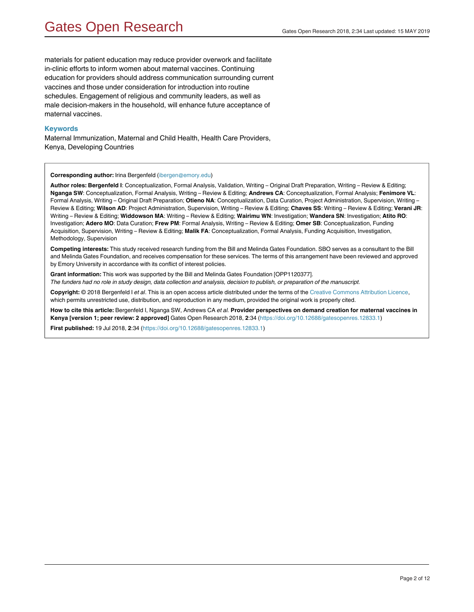materials for patient education may reduce provider overwork and facilitate in-clinic efforts to inform women about maternal vaccines. Continuing education for providers should address communication surrounding current vaccines and those under consideration for introduction into routine schedules. Engagement of religious and community leaders, as well as male decision-makers in the household, will enhance future acceptance of maternal vaccines.

#### **Keywords**

Maternal Immunization, Maternal and Child Health, Health Care Providers, Kenya, Developing Countries

#### **Corresponding author:** Irina Bergenfeld (ibergen@emory.edu)

**Author roles: Bergenfeld I**: Conceptualization, Formal Analysis, Validation, Writing – Original Draft Preparation, Writing – Review & Editing; **Nganga SW**: Conceptualization, Formal Analysis, Writing – Review & Editing; **Andrews CA**: Conceptualization, Formal Analysis; **Fenimore VL**: Formal Analysis, Writing – Original Draft Preparation; **Otieno NA**: Conceptualization, Data Curation, Project Administration, Supervision, Writing – Review & Editing; **Wilson AD**: Project Administration, Supervision, Writing – Review & Editing; **Chaves SS**: Writing – Review & Editing; **Verani JR**: Writing – Review & Editing; **Widdowson MA**: Writing – Review & Editing; **Wairimu WN**: Investigation; **Wandera SN**: Investigation; **Atito RO**: Investigation; **Adero MO**: Data Curation; **Frew PM**: Formal Analysis, Writing – Review & Editing; **Omer SB**: Conceptualization, Funding Acquisition, Supervision, Writing – Review & Editing; **Malik FA**: Conceptualization, Formal Analysis, Funding Acquisition, Investigation, Methodology, Supervision

**Competing interests:** This study received research funding from the Bill and Melinda Gates Foundation. SBO serves as a consultant to the Bill and Melinda Gates Foundation, and receives compensation for these services. The terms of this arrangement have been reviewed and approved by Emory University in accordance with its conflict of interest policies.

**Grant information:** This work was supported by the Bill and Melinda Gates Foundation [OPP1120377]. *The funders had no role in study design, data collection and analysis, decision to publish, or preparation of the manuscript.*

**Copyright:** © 2018 Bergenfeld I *et al*. This is an open access article distributed under the terms of the [Creative Commons Attribution Licence](http://creativecommons.org/licenses/by/4.0/), which permits unrestricted use, distribution, and reproduction in any medium, provided the original work is properly cited.

**How to cite this article:** Bergenfeld I, Nganga SW, Andrews CA *et al.* **Provider perspectives on demand creation for maternal vaccines in Kenya [version 1; peer review: 2 approved]** Gates Open Research 2018, **2**:34 (<https://doi.org/10.12688/gatesopenres.12833.1>)

**First published:** 19 Jul 2018, **2**:34 [\(https://doi.org/10.12688/gatesopenres.12833.1\)](https://doi.org/10.12688/gatesopenres.12833.1)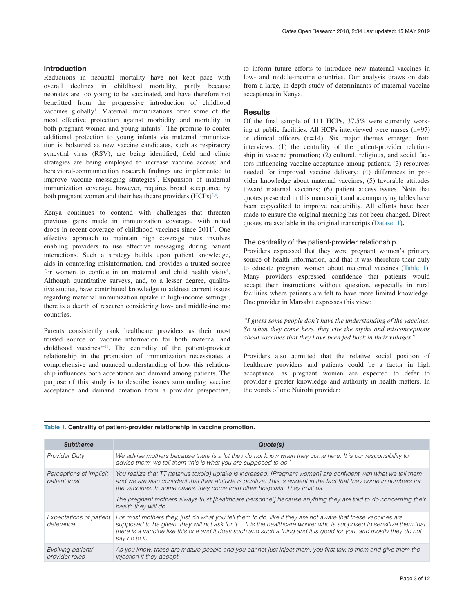### **Introduction**

Reductions in neonatal mortality have not kept pace with overall declines in childhood mortality, partly because neonates are too young to be vaccinated, and have therefore not benefitted from the progressive introduction of childhood vaccines globally<sup>[1](#page-10-0)</sup>. Maternal immunizations offer some of the most effective protection against morbidity and mortality in both pregnant women and young infants<sup>[2](#page-10-0)</sup>. The promise to confer additional protection to young infants via maternal immunization is bolstered as new vaccine candidates, such as respiratory syncytial virus (RSV), are being identified; field and clinic strategies are being employed to increase vaccine access; and behavioral-communication research findings are implemented to improve vaccine messaging strategies<sup>[2](#page-10-0)</sup>. Expansion of maternal immunization coverage, however, requires broad acceptance by both pregnant women and their healthcare providers (HCPs)<sup>[3,4](#page-10-0)</sup>.

Kenya continues to contend with challenges that threaten previous gains made in immunization coverage, with noted drops in recent coverage of childhood vaccines since 2011[5](#page-10-0) . One effective approach to maintain high coverage rates involves enabling providers to use effective messaging during patient interactions. Such a strategy builds upon patient knowledge, aids in countering misinformation, and provides a trusted source for women to confide in on maternal and child health visits<sup>[6](#page-10-0)</sup>. Although quantitative surveys, and, to a lesser degree, qualitative studies, have contributed knowledge to address current issues regarding maternal immunization uptake in high-income settings<sup>[7](#page-10-0)</sup>, there is a dearth of research considering low- and middle-income countries.

Parents consistently rank healthcare providers as their most trusted source of vaccine information for both maternal and childhood vaccines $8-11$ . The centrality of the patient-provider relationship in the promotion of immunization necessitates a comprehensive and nuanced understanding of how this relationship influences both acceptance and demand among patients. The purpose of this study is to describe issues surrounding vaccine acceptance and demand creation from a provider perspective, to inform future efforts to introduce new maternal vaccines in low- and middle-income countries. Our analysis draws on data from a large, in-depth study of determinants of maternal vaccine acceptance in Kenya.

#### **Results**

Of the final sample of 111 HCPs, 37.5% were currently working at public facilities. All HCPs interviewed were nurses (n=97) or clinical officers (n=14). Six major themes emerged from interviews: (1) the centrality of the patient-provider relationship in vaccine promotion; (2) cultural, religious, and social factors influencing vaccine acceptance among patients; (3) resources needed for improved vaccine delivery; (4) differences in provider knowledge about maternal vaccines; (5) favorable attitudes toward maternal vaccines; (6) patient access issues. Note that quotes presented in this manuscript and accompanying tables have been copyedited to improve readability. All efforts have been made to ensure the original meaning has not been changed. Direct quotes are available in the original transcripts **(**[Dataset 1](#page-9-0)**).**

#### The centrality of the patient-provider relationship

Providers expressed that they were pregnant women's primary source of health information, and that it was therefore their duty to educate pregnant women about maternal vaccines (Table 1). Many providers expressed confidence that patients would accept their instructions without question, especially in rural facilities where patients are felt to have more limited knowledge. One provider in Marsabit expresses this view:

*"I guess some people don't have the understanding of the vaccines. So when they come here, they cite the myths and misconceptions about vaccines that they have been fed back in their villages."*

Providers also admitted that the relative social position of healthcare providers and patients could be a factor in high acceptance, as pregnant women are expected to defer to provider's greater knowledge and authority in health matters. In the words of one Nairobi provider:

| <b>Subtheme</b>                          | Quote(s)                                                                                                                                                                                                                                                                                                                                                               |
|------------------------------------------|------------------------------------------------------------------------------------------------------------------------------------------------------------------------------------------------------------------------------------------------------------------------------------------------------------------------------------------------------------------------|
| <b>Provider Duty</b>                     | We advise mothers because there is a lot they do not know when they come here. It is our responsibility to<br>advise them; we tell them 'this is what you are supposed to do.'                                                                                                                                                                                         |
| Perceptions of implicit<br>patient trust | You realize that TT (tetanus toxoid) uptake is increased. [Pregnant women] are confident with what we tell them<br>and we are also confident that their attitude is positive. This is evident in the fact that they come in numbers for<br>the vaccines. In some cases, they come from other hospitals. They trust us.                                                 |
|                                          | The pregnant mothers always trust [healthcare personnel] because anything they are told to do concerning their<br>health they will do.                                                                                                                                                                                                                                 |
| Expectations of patient<br>deference     | For most mothers they, just do what you tell them to do, like if they are not aware that these vaccines are<br>supposed to be given, they will not ask for it It is the healthcare worker who is supposed to sensitize them that<br>there is a vaccine like this one and it does such and such a thing and it is good for you, and mostly they do not<br>say no to it. |
| Evolving patient/<br>provider roles      | As you know, these are mature people and you cannot just inject them, you first talk to them and give them the<br>injection if they accept.                                                                                                                                                                                                                            |

#### **Table 1. Centrality of patient-provider relationship in vaccine promotion.**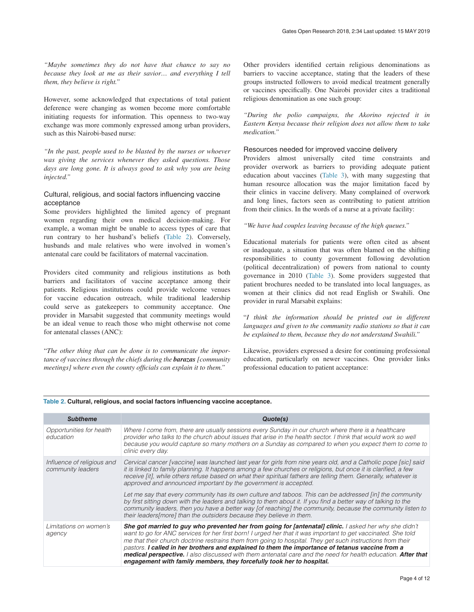<span id="page-5-0"></span>*"Maybe sometimes they do not have that chance to say no because they look at me as their savior… and everything I tell them, they believe is right."*

However, some acknowledged that expectations of total patient deference were changing as women become more comfortable initiating requests for information. This openness to two-way exchange was more commonly expressed among urban providers, such as this Nairobi-based nurse:

*"In the past, people used to be blasted by the nurses or whoever was giving the services whenever they asked questions. Those days are long gone. It is always good to ask why you are being injected."*

### Cultural, religious, and social factors influencing vaccine acceptance

Some providers highlighted the limited agency of pregnant women regarding their own medical decision-making. For example, a woman might be unable to access types of care that run contrary to her husband's beliefs (Table 2). Conversely, husbands and male relatives who were involved in women's antenatal care could be facilitators of maternal vaccination.

Providers cited community and religious institutions as both barriers and facilitators of vaccine acceptance among their patients. Religious institutions could provide welcome venues for vaccine education outreach, while traditional leadership could serve as gatekeepers to community acceptance. One provider in Marsabit suggested that community meetings would be an ideal venue to reach those who might otherwise not come for antenatal classes (ANC):

"*The other thing that can be done is to communicate the importance of vaccines through the chiefs during the barazas [community meetings] where even the county officials can explain it to them."*

Other providers identified certain religious denominations as barriers to vaccine acceptance, stating that the leaders of these groups instructed followers to avoid medical treatment generally or vaccines specifically. One Nairobi provider cites a traditional religious denomination as one such group:

*"During the polio campaigns, the Akorino rejected it in Eastern Kenya because their religion does not allow them to take medication."*

### Resources needed for improved vaccine delivery

Providers almost universally cited time constraints and provider overwork as barriers to providing adequate patient education about vaccines [\(Table 3](#page-6-0)), with many suggesting that human resource allocation was the major limitation faced by their clinics in vaccine delivery. Many complained of overwork and long lines, factors seen as contributing to patient attrition from their clinics. In the words of a nurse at a private facility:

*"We have had couples leaving because of the high queues."*

Educational materials for patients were often cited as absent or inadequate, a situation that was often blamed on the shifting responsibilities to county government following devolution (political decentralization) of powers from national to county governance in 2010 [\(Table 3\)](#page-6-0). Some providers suggested that patient brochures needed to be translated into local languages, as women at their clinics did not read English or Swahili. One provider in rural Marsabit explains:

"*I think the information should be printed out in different languages and given to the community radio stations so that it can be explained to them, because they do not understand Swahili."*

Likewise, providers expressed a desire for continuing professional education, particularly on newer vaccines. One provider links professional education to patient acceptance:

| <b>Subtheme</b>                                 | Quote(s)                                                                                                                                                                                                                                                                                                                                                                                                                                                                                                                                                                                                                           |
|-------------------------------------------------|------------------------------------------------------------------------------------------------------------------------------------------------------------------------------------------------------------------------------------------------------------------------------------------------------------------------------------------------------------------------------------------------------------------------------------------------------------------------------------------------------------------------------------------------------------------------------------------------------------------------------------|
| Opportunities for health<br>education           | Where I come from, there are usually sessions every Sunday in our church where there is a healthcare<br>provider who talks to the church about issues that arise in the health sector. I think that would work so well<br>because you would capture so many mothers on a Sunday as compared to when you expect them to come to<br>clinic every day.                                                                                                                                                                                                                                                                                |
| Influence of religious and<br>community leaders | Cervical cancer [vaccine] was launched last year for girls from nine years old, and a Catholic pope [sic] said<br>it is linked to family planning. It happens among a few churches or religions, but once it is clarified, a few<br>receive [it], while others refuse based on what their spiritual fathers are telling them. Generally, whatever is<br>approved and announced important by the government is accepted.                                                                                                                                                                                                            |
|                                                 | Let me say that every community has its own culture and taboos. This can be addressed [in] the community<br>by first sitting down with the leaders and talking to them about it. If you find a better way of talking to the<br>community leaders, then you have a better way [of reaching] the community, because the community listen to<br>their leaders[more] than the outsiders because they believe in them.                                                                                                                                                                                                                  |
| Limitations on women's<br>agency                | She got married to guy who prevented her from going for [antenatal] clinic. I asked her why she didn't<br>want to go for ANC services for her first born! I urged her that it was important to get vaccinated. She told<br>me that their church doctrine restrains them from going to hospital. They get such instructions from their<br>pastors. I called in her brothers and explained to them the importance of tetanus vaccine from a<br>medical perspective. I also discussed with them antenatal care and the need for health education. After that<br>engagement with family members, they forcefully took her to hospital. |

#### **Table 2. Cultural, religious, and social factors influencing vaccine acceptance.**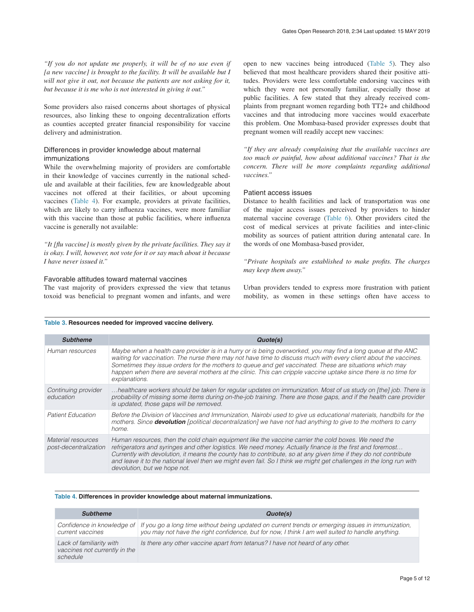<span id="page-6-0"></span>*"If you do not update me properly, it will be of no use even if [a new vaccine] is brought to the facility. It will be available but I will not give it out, not because the patients are not asking for it, but because it is me who is not interested in giving it out."*

Some providers also raised concerns about shortages of physical resources, also linking these to ongoing decentralization efforts as counties accepted greater financial responsibility for vaccine delivery and administration.

#### Differences in provider knowledge about maternal immunizations

While the overwhelming majority of providers are comfortable in their knowledge of vaccines currently in the national schedule and available at their facilities, few are knowledgeable about vaccines not offered at their facilities, or about upcoming vaccines (Table 4). For example, providers at private facilities, which are likely to carry influenza vaccines, were more familiar with this vaccine than those at public facilities, where influenza vaccine is generally not available:

*"It [flu vaccine] is mostly given by the private facilities. They say it is okay. I will, however, not vote for it or say much about it because I have never issued it."*

#### Favorable attitudes toward maternal vaccines

The vast majority of providers expressed the view that tetanus toxoid was beneficial to pregnant women and infants, and were open to new vaccines being introduced ([Table 5](#page-7-0)). They also believed that most healthcare providers shared their positive attitudes. Providers were less comfortable endorsing vaccines with which they were not personally familiar, especially those at public facilities. A few stated that they already received complaints from pregnant women regarding both TT2+ and childhood vaccines and that introducing more vaccines would exacerbate this problem. One Mombasa-based provider expresses doubt that pregnant women will readily accept new vaccines:

*"If they are already complaining that the available vaccines are too much or painful, how about additional vaccines? That is the concern. There will be more complaints regarding additional vaccines."*

#### Patient access issues

Distance to health facilities and lack of transportation was one of the major access issues perceived by providers to hinder maternal vaccine coverage ([Table 6](#page-7-0)). Other providers cited the cost of medical services at private facilities and inter-clinic mobility as sources of patient attrition during antenatal care. In the words of one Mombasa-based provider,

*"Private hospitals are established to make profits. The charges may keep them away."*

Urban providers tended to express more frustration with patient mobility, as women in these settings often have access to

#### **Table 3. Resources needed for improved vaccine delivery.**

| <b>Subtheme</b>                             | Quote(s)                                                                                                                                                                                                                                                                                                                                                                                                                                                                                    |
|---------------------------------------------|---------------------------------------------------------------------------------------------------------------------------------------------------------------------------------------------------------------------------------------------------------------------------------------------------------------------------------------------------------------------------------------------------------------------------------------------------------------------------------------------|
| Human resources                             | Maybe when a health care provider is in a hurry or is being overworked, you may find a long queue at the ANC<br>waiting for vaccination. The nurse there may not have time to discuss much with every client about the vaccines.<br>Sometimes they issue orders for the mothers to queue and get vaccinated. These are situations which may<br>happen when there are several mothers at the clinic. This can cripple vaccine uptake since there is no time for<br>explanations.             |
| Continuing provider<br>education            | healthcare workers should be taken for regular updates on immunization. Most of us study on [the] job. There is<br>probability of missing some items during on-the-job training. There are those gaps, and if the health care provider<br>is updated, those gaps will be removed.                                                                                                                                                                                                           |
| <b>Patient Education</b>                    | Before the Division of Vaccines and Immunization, Nairobi used to give us educational materials, handbills for the<br>mothers. Since <b>devolution</b> [political decentralization] we have not had anything to give to the mothers to carry<br>home.                                                                                                                                                                                                                                       |
| Material resources<br>post-decentralization | Human resources, then the cold chain equipment like the vaccine carrier the cold boxes. We need the<br>refrigerators and syringes and other logistics. We need money. Actually finance is the first and foremost<br>Currently with devolution, it means the county has to contribute, so at any given time if they do not contribute<br>and leave it to the national level then we might even fail. So I think we might get challenges in the long run with<br>devolution, but we hope not. |

#### **Table 4. Differences in provider knowledge about maternal immunizations.**

| <b>Subtheme</b>                                                       | Quote(s)                                                                                                                                                                                                                         |
|-----------------------------------------------------------------------|----------------------------------------------------------------------------------------------------------------------------------------------------------------------------------------------------------------------------------|
| current vaccines                                                      | Confidence in knowledge of If you go a long time without being updated on current trends or emerging issues in immunization,<br>you may not have the right confidence, but for now, I think I am well suited to handle anything. |
| Lack of familiarity with<br>vaccines not currently in the<br>schedule | Is there any other vaccine apart from tetanus? I have not heard of any other.                                                                                                                                                    |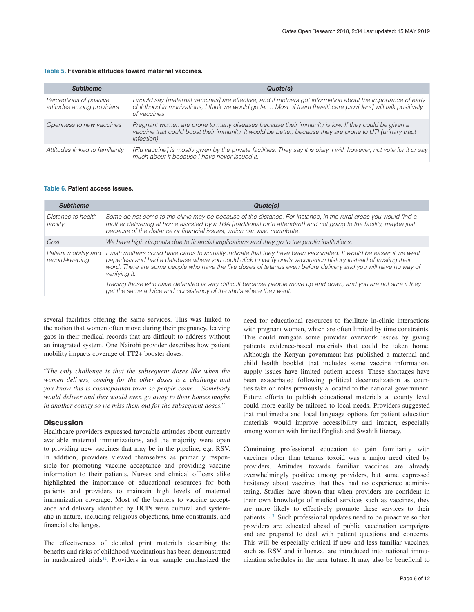#### <span id="page-7-0"></span>**Table 5. Favorable attitudes toward maternal vaccines.**

| <b>Subtheme</b>                                      | Quote(s)                                                                                                                                                                                                                                 |
|------------------------------------------------------|------------------------------------------------------------------------------------------------------------------------------------------------------------------------------------------------------------------------------------------|
| Perceptions of positive<br>attitudes among providers | I would say [maternal vaccines] are effective, and if mothers got information about the importance of early<br>childhood immunizations, I think we would go far Most of them [healthcare providers] will talk positively<br>of vaccines. |
| Openness to new vaccines                             | Pregnant women are prone to many diseases because their immunity is low. If they could be given a<br>vaccine that could boost their immunity, it would be better, because they are prone to UTI (urinary tract<br>infection).            |
| Attitudes linked to familiarity                      | [Flu vaccine] is mostly given by the private facilities. They say it is okay. I will, however, not vote for it or say<br>much about it because I have never issued it.                                                                   |

#### **Table 6. Patient access issues.**

| <b>Subtheme</b>                        | Quote(s)                                                                                                                                                                                                                                                                                                                                                                 |  |  |  |  |  |
|----------------------------------------|--------------------------------------------------------------------------------------------------------------------------------------------------------------------------------------------------------------------------------------------------------------------------------------------------------------------------------------------------------------------------|--|--|--|--|--|
| Distance to health<br>facility         | Some do not come to the clinic may be because of the distance. For instance, in the rural areas you would find a<br>mother delivering at home assisted by a TBA [traditional birth attendant] and not going to the facility, maybe just<br>because of the distance or financial issues, which can also contribute.                                                       |  |  |  |  |  |
| Cost                                   | We have high dropouts due to financial implications and they go to the public institutions.                                                                                                                                                                                                                                                                              |  |  |  |  |  |
| Patient mobility and<br>record-keeping | wish mothers could have cards to actually indicate that they have been vaccinated. It would be easier if we went<br>paperless and had a database where you could click to verify one's vaccination history instead of trusting their<br>word. There are some people who have the five doses of tetanus even before delivery and you will have no way of<br>verifying it. |  |  |  |  |  |
|                                        | Tracing those who have defaulted is very difficult because people move up and down, and you are not sure if they<br>get the same advice and consistency of the shots where they went.                                                                                                                                                                                    |  |  |  |  |  |

several facilities offering the same services. This was linked to the notion that women often move during their pregnancy, leaving gaps in their medical records that are difficult to address without an integrated system. One Nairobi provider describes how patient mobility impacts coverage of TT2+ booster doses:

"*The only challenge is that the subsequent doses like when the women delivers, coming for the other doses is a challenge and you know this is cosmopolitan town so people come… Somebody would deliver and they would even go away to their homes maybe in another county so we miss them out for the subsequent doses."*

#### **Discussion**

Healthcare providers expressed favorable attitudes about currently available maternal immunizations, and the majority were open to providing new vaccines that may be in the pipeline, e.g. RSV. In addition, providers viewed themselves as primarily responsible for promoting vaccine acceptance and providing vaccine information to their patients. Nurses and clinical officers alike highlighted the importance of educational resources for both patients and providers to maintain high levels of maternal immunization coverage. Most of the barriers to vaccine acceptance and delivery identified by HCPs were cultural and systematic in nature, including religious objections, time constraints, and financial challenges.

The effectiveness of detailed print materials describing the benefits and risks of childhood vaccinations has been demonstrated in randomized trials<sup>12</sup>. Providers in our sample emphasized the need for educational resources to facilitate in-clinic interactions with pregnant women, which are often limited by time constraints. This could mitigate some provider overwork issues by giving patients evidence-based materials that could be taken home. Although the Kenyan government has published a maternal and child health booklet that includes some vaccine information, supply issues have limited patient access. These shortages have been exacerbated following political decentralization as counties take on roles previously allocated to the national government. Future efforts to publish educational materials at county level could more easily be tailored to local needs. Providers suggested that multimedia and local language options for patient education materials would improve accessibility and impact, especially among women with limited English and Swahili literacy.

Continuing professional education to gain familiarity with vaccines other than tetanus toxoid was a major need cited by providers. Attitudes towards familiar vaccines are already overwhelmingly positive among providers, but some expressed hesitancy about vaccines that they had no experience administering. Studies have shown that when providers are confident in their own knowledge of medical services such as vaccines, they are more likely to effectively promote these services to their patients<sup>11,13</sup>. Such professional updates need to be proactive so that providers are educated ahead of public vaccination campaigns and are prepared to deal with patient questions and concerns. This will be especially critical if new and less familiar vaccines, such as RSV and influenza, are introduced into national immunization schedules in the near future. It may also be beneficial to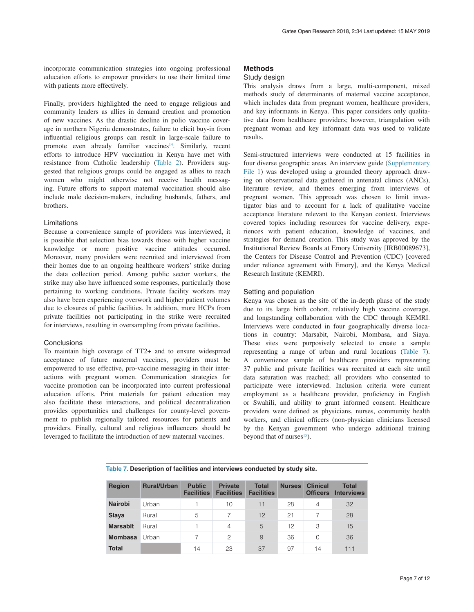incorporate communication strategies into ongoing professional education efforts to empower providers to use their limited time with patients more effectively.

Finally, providers highlighted the need to engage religious and community leaders as allies in demand creation and promotion of new vaccines. As the drastic decline in polio vaccine coverage in northern Nigeria demonstrates, failure to elicit buy-in from influential religious groups can result in large-scale failure to promote even already familiar vaccines<sup>14</sup>. Similarly, recent efforts to introduce HPV vaccination in Kenya have met with resistance from Catholic leadership ([Table 2\)](#page-5-0). Providers suggested that religious groups could be engaged as allies to reach women who might otherwise not receive health messaging. Future efforts to support maternal vaccination should also include male decision-makers, including husbands, fathers, and brothers.

#### Limitations

Because a convenience sample of providers was interviewed, it is possible that selection bias towards those with higher vaccine knowledge or more positive vaccine attitudes occurred. Moreover, many providers were recruited and interviewed from their homes due to an ongoing healthcare workers' strike during the data collection period. Among public sector workers, the strike may also have influenced some responses, particularly those pertaining to working conditions. Private facility workers may also have been experiencing overwork and higher patient volumes due to closures of public facilities. In addition, more HCPs from private facilities not participating in the strike were recruited for interviews, resulting in oversampling from private facilities.

#### **Conclusions**

To maintain high coverage of TT2+ and to ensure widespread acceptance of future maternal vaccines, providers must be empowered to use effective, pro-vaccine messaging in their interactions with pregnant women. Communication strategies for vaccine promotion can be incorporated into current professional education efforts. Print materials for patient education may also facilitate these interactions, and political decentralization provides opportunities and challenges for county-level government to publish regionally tailored resources for patients and providers. Finally, cultural and religious influencers should be leveraged to facilitate the introduction of new maternal vaccines.

### **Methods**

#### Study design

This analysis draws from a large, multi-component, mixed methods study of determinants of maternal vaccine acceptance, which includes data from pregnant women, healthcare providers, and key informants in Kenya. This paper considers only qualitative data from healthcare providers; however, triangulation with pregnant woman and key informant data was used to validate results.

Semi-structured interviews were conducted at 15 facilities in four diverse geographic areas. An interview guide [\(Supplementary](#page-9-0)  [File 1\)](#page-9-0) was developed using a grounded theory approach drawing on observational data gathered in antenatal clinics (ANCs), literature review, and themes emerging from interviews of pregnant women. This approach was chosen to limit investigator bias and to account for a lack of qualitative vaccine acceptance literature relevant to the Kenyan context. Interviews covered topics including resources for vaccine delivery, experiences with patient education, knowledge of vaccines, and strategies for demand creation. This study was approved by the Institutional Review Boards at Emory University [IRB00089673], the Centers for Disease Control and Prevention (CDC) [covered under reliance agreement with Emory], and the Kenya Medical Research Institute (KEMRI).

#### Setting and population

Kenya was chosen as the site of the in-depth phase of the study due to its large birth cohort, relatively high vaccine coverage, and longstanding collaboration with the CDC through KEMRI. Interviews were conducted in four geographically diverse locations in country: Marsabit, Nairobi, Mombasa, and Siaya. These sites were purposively selected to create a sample representing a range of urban and rural locations (Table 7). A convenience sample of healthcare providers representing 37 public and private facilities was recruited at each site until data saturation was reached; all providers who consented to participate were interviewed. Inclusion criteria were current employment as a healthcare provider, proficiency in English or Swahili, and ability to grant informed consent. Healthcare providers were defined as physicians, nurses, community health workers, and clinical officers (non-physician clinicians licensed by the Kenyan government who undergo additional training beyond that of nurses $^{15}$ ).

#### **Table 7. Description of facilities and interviews conducted by study site.**

| <b>Region</b>   | <b>Rural/Urban</b> | <b>Public</b><br><b>Facilities</b> | <b>Private</b><br><b>Facilities</b> | <b>Total</b><br><b>Facilities</b> | <b>Nurses</b> | <b>Clinical</b><br><b>Officers</b> | <b>Total</b><br><b>Interviews</b> |
|-----------------|--------------------|------------------------------------|-------------------------------------|-----------------------------------|---------------|------------------------------------|-----------------------------------|
| <b>Nairobi</b>  | Urban              |                                    | 10                                  | 11                                | 28            | $\overline{4}$                     | 32                                |
| Siaya           | Rural              | 5                                  |                                     | 12                                | 21            |                                    | 28                                |
| <b>Marsabit</b> | Rural              |                                    | 4                                   | 5                                 | 12            | 3                                  | 15                                |
| <b>Mombasa</b>  | Urban              |                                    | 2                                   | 9                                 | 36            | 0                                  | 36                                |
| <b>Total</b>    |                    | 14                                 | 23                                  | 37                                | 97            | 14                                 | 111                               |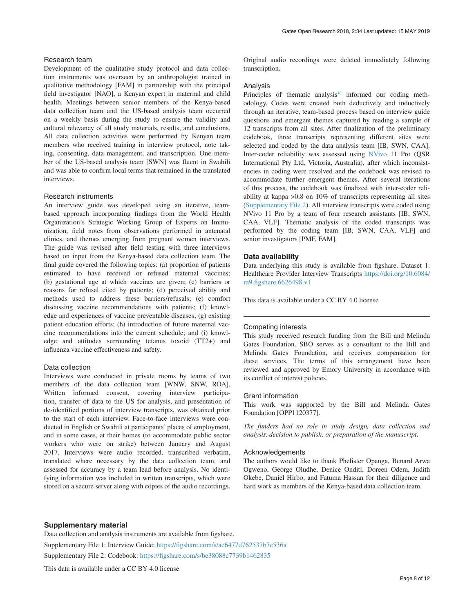#### <span id="page-9-0"></span>Research team

Development of the qualitative study protocol and data collection instruments was overseen by an anthropologist trained in qualitative methodology [FAM] in partnership with the principal field investigator [NAO], a Kenyan expert in maternal and child health. Meetings between senior members of the Kenya-based data collection team and the US-based analysis team occurred on a weekly basis during the study to ensure the validity and cultural relevancy of all study materials, results, and conclusions. All data collection activities were performed by Kenyan team members who received training in interview protocol, note taking, consenting, data management, and transcription. One member of the US-based analysis team [SWN] was fluent in Swahili and was able to confirm local terms that remained in the translated interviews.

#### Research instruments

An interview guide was developed using an iterative, teambased approach incorporating findings from the World Health Organization's Strategic Working Group of Experts on Immunization, field notes from observations performed in antenatal clinics, and themes emerging from pregnant women interviews. The guide was revised after field testing with three interviews based on input from the Kenya-based data collection team. The final guide covered the following topics: (a) proportion of patients estimated to have received or refused maternal vaccines; (b) gestational age at which vaccines are given; (c) barriers or reasons for refusal cited by patients; (d) perceived ability and methods used to address these barriers/refusals; (e) comfort discussing vaccine recommendations with patients; (f) knowledge and experiences of vaccine preventable diseases; (g) existing patient education efforts; (h) introduction of future maternal vaccine recommendations into the current schedule; and (i) knowledge and attitudes surrounding tetanus toxoid (TT2+) and influenza vaccine effectiveness and safety.

#### Data collection

Interviews were conducted in private rooms by teams of two members of the data collection team [WNW, SNW, ROA]. Written informed consent, covering interview participation, transfer of data to the US for analysis, and presentation of de-identified portions of interview transcripts, was obtained prior to the start of each interview. Face-to-face interviews were conducted in English or Swahili at participants' places of employment, and in some cases, at their homes (to accommodate public sector workers who were on strike) between January and August 2017. Interviews were audio recorded, transcribed verbatim, translated where necessary by the data collection team, and assessed for accuracy by a team lead before analysis. No identifying information was included in written transcripts, which were stored on a secure server along with copies of the audio recordings.

Original audio recordings were deleted immediately following transcription.

#### Analysis

Principles of thematic analysis<sup>16</sup> informed our coding methodology. Codes were created both deductively and inductively through an iterative, team-based process based on interview guide questions and emergent themes captured by reading a sample of 12 transcripts from all sites. After finalization of the preliminary codebook, three transcripts representing different sites were selected and coded by the data analysis team [IB, SWN, CAA]. Inter-coder reliability was assessed using [NVivo](http://www.qsrinternational.com/nvivo/nvivo-products/nvivo-11-for-windows/nvivo-pro) 11 Pro (QSR International Pty Ltd, Victoria, Australia), after which inconsistencies in coding were resolved and the codebook was revised to accommodate further emergent themes. After several iterations of this process, the codebook was finalized with inter-coder reliability at kappa >0.8 on 10% of transcripts representing all sites (Supplementary File 2). All interview transcripts were coded using NVivo 11 Pro by a team of four research assistants [IB, SWN, CAA, VLF]. Thematic analysis of the coded transcripts was performed by the coding team [IB, SWN, CAA, VLF] and senior investigators [PMF, FAM].

#### **Data availability**

Data underlying this study is available from figshare. Dataset 1: Healthcare Provider Interview Transcripts [https://doi.org/10.6084/](http://dx.doi.org/10.6084/m9.figshare.6626498.v1) [m9.figshare.6626498.v1](http://dx.doi.org/10.6084/m9.figshare.6626498.v1)

This data is available under a CC BY 4.0 license

#### Competing interests

This study received research funding from the Bill and Melinda Gates Foundation. SBO serves as a consultant to the Bill and Melinda Gates Foundation, and receives compensation for these services. The terms of this arrangement have been reviewed and approved by Emory University in accordance with its conflict of interest policies.

#### Grant information

This work was supported by the Bill and Melinda Gates Foundation [OPP1120377].

*The funders had no role in study design, data collection and analysis, decision to publish, or preparation of the manuscript.*

#### Acknowledgements

The authors would like to thank Phelister Opanga, Benard Arwa Ogweno, George Oludhe, Denice Onditi, Doreen Odera, Judith Okebe, Daniel Hirbo, and Fatuma Hassan for their diligence and hard work as members of the Kenya-based data collection team.

#### **Supplementary material**

Data collection and analysis instruments are available from figshare. Supplementary File 1: Interview Guide:<https://figshare.com/s/ae6477d762537b7e536a> Supplementary File 2: Codebook: <https://figshare.com/s/be38088c7739b1462835> This data is available under a CC BY 4.0 license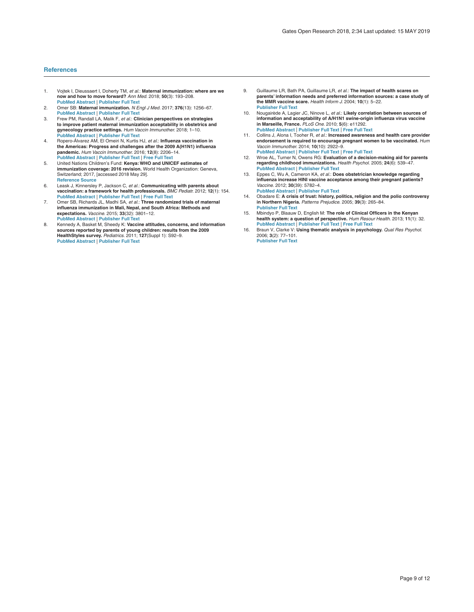#### <span id="page-10-0"></span>**References**

- 1. Vojtek I, Dieussaert I, Doherty TM, *et al.*: **Maternal immunization: where are we now and how to move forward?** *Ann Med.* 2018; **50**(3): 193–208. **[PubMed Abstract](http://www.ncbi.nlm.nih.gov/pubmed/29308916)** | **[Publisher Full Text](http://dx.doi.org/10.1080/07853890.2017.1421320)**
- 2. Omer SB: **Maternal immunization.** *N Engl J Med.* 2017; **376**(13): 1256–67. **[PubMed Abstract](http://www.ncbi.nlm.nih.gov/pubmed/28355514)** | **[Publisher Full Text](http://dx.doi.org/10.1056/NEJMra1509044)**
- 3. Frew PM, Randall LA, Malik F, *et al.*: **Clinician perspectives on strategies to improve patient maternal immunization acceptability in obstetrics and gynecology practice settings.** *Hum Vaccin Immunother.* 2018; 1–10.
- **[PubMed Abstract](http://www.ncbi.nlm.nih.gov/pubmed/29313458)** | **[Publisher Full Text](http://dx.doi.org/10.1080/21645515.2018.1425116)** 4. Ropero-Álvarez AM, El Omeiri N, Kurtis HJ, *et al.*: **Influenza vaccination in the Americas: Progress and challenges after the 2009 A(H1N1) influenza pandemic.** *Hum Vaccin Immunother.* 2016; **12**(8): 2206–14. **[PubMed Abstract](http://www.ncbi.nlm.nih.gov/pubmed/27196006)** | **[Publisher Full Text](http://dx.doi.org/10.1080/21645515.2016.1157240)** | **[Free Full Text](http://www.ncbi.nlm.nih.gov/pmc/articles/4994725)**
- 5. United Nations Children's Fund: **Kenya: WHO and UNICEF estimates of immunization coverage: 2016 revision.** World Health Organization: Geneva, Switzerland; 2017, [accessed 2018 May 29]. **[Reference Source](http://www.who.int/immunization/monitoring_surveillance/data/ken.pdf)**
- 6. Leask J, Kinnersley P, Jackson C, *et al.*: **Communicating with parents about vaccination: a framework for health professionals.** *BMC Pediatr.* 2012; **12**(1): 154. **[PubMed Abstract](http://www.ncbi.nlm.nih.gov/pubmed/22998654)** | **[Publisher Full Text](http://dx.doi.org/10.1186/1471-2431-12-154)** | **[Free Full Text](http://www.ncbi.nlm.nih.gov/pmc/articles/3480952)**
- 7. Omer SB, Richards JL, Madhi SA, *et al.*: **Three randomized trials of maternal influenza immunization in Mali, Nepal, and South Africa: Methods and expectations.** *Vaccine.* 2015; **33**(32): 3801–12. **[PubMed Abstract](http://www.ncbi.nlm.nih.gov/pubmed/26095508)** | **[Publisher Full Text](http://dx.doi.org/10.1016/j.vaccine.2015.05.077)**
- 8. Kennedy A, Basket M, Sheedy K: **Vaccine attitudes, concerns, and information sources reported by parents of young children: results from the 2009 HealthStyles survey.** *Pediatrics.* 2011; **127**(Suppl 1): S92–9. **[PubMed Abstract](http://www.ncbi.nlm.nih.gov/pubmed/21502253)** | **[Publisher Full Text](http://dx.doi.org/10.1542/peds.2010-1722N)**
- 9. Guillaume LR, Bath PA, Guillaume LR, *et al.*: **The impact of health scares on parents' information needs and preferred information sources: a case study of the MMR vaccine scare.** *Health Inform J.* 2004; **10**(1): 5–22. **[Publisher Full Text](http://dx.doi.org/10.1177/1460458204040664)**
- 10. Nougairède A, Lagier JC, Ninove L, *et al.*: **Likely correlation between sources of information and acceptability of A/H1N1 swine-origin influenza virus vaccine in Marseille, France.** *PLoS One.* 2010; **5**(6): e11292.
- **[PubMed Abstract](http://www.ncbi.nlm.nih.gov/pubmed/20593024)** | **[Publisher Full Text](http://dx.doi.org/10.1371/journal.pone.0011292)** | **[Free Full Text](http://www.ncbi.nlm.nih.gov/pmc/articles/2892508)** 11. Collins J, Alona I, Tooher R, *et al.*: **Increased awareness and health care provider endorsement is required to encourage pregnant women to be vaccinated.** *Hum Vaccin Immunother.* 2014; **10**(10): 2922–9. **[PubMed Abstract](http://www.ncbi.nlm.nih.gov/pubmed/25483464)** | **[Publisher Full Text](http://dx.doi.org/10.4161/21645515.2014.971606)** | **[Free Full Text](http://www.ncbi.nlm.nih.gov/pmc/articles/5443072)**
- 12. Wroe AL, Turner N, Owens RG: **Evaluation of a decision-making aid for parents regarding childhood immunizations.** *Health Psychol.* 2005; **24**(6): 539–47. **[PubMed Abstract](http://www.ncbi.nlm.nih.gov/pubmed/16287399)** | **[Publisher Full Text](http://dx.doi.org/10.1037/0278-6133.24.6.539)**
- 13. Eppes C, Wu A, Cameron KA, *et al.*: **Does obstetrician knowledge regarding influenza increase HINI vaccine acceptance among their pregnant patients?** *Vaccine.* 2012; **30**(39): 5782–4. **[PubMed Abstract](http://www.ncbi.nlm.nih.gov/pubmed/22743135)** | **[Publisher Full Text](http://dx.doi.org/10.1016/j.vaccine.2012.06.032)**
- 14. Obadare E: **A crisis of trust: history, politics, religion and the polio controversy in Northern Nigeria.** *Patterns Prejudice.* 2005; **39**(3): 265–84. **[Publisher Full Text](http://dx.doi.org/10.1080/00313220500198185)**
- 15. Mbindyo P, Blaauw D, English M: **The role of Clinical Officers in the Kenyan health system: a question of perspective.** *Hum Resour Health.* 2013; **11**(1): 32. **[PubMed Abstract](http://www.ncbi.nlm.nih.gov/pubmed/23866692)** | **[Publisher Full Text](http://dx.doi.org/10.1186/1478-4491-11-32)** | **[Free Full Text](http://www.ncbi.nlm.nih.gov/pmc/articles/3724708)**
- 16. Braun V, Clarke V: **Using thematic analysis in psychology.** *Qual Res Psychol.* 2006; **3**(2): 77–101. **[Publisher Full Text](http://dx.doi.org/10.1191/1478088706qp063oa)**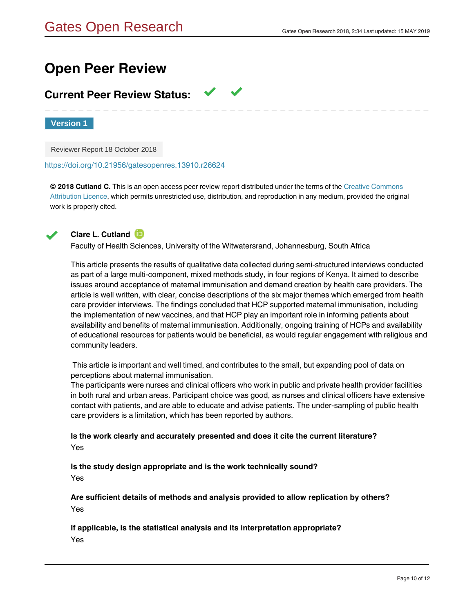# **Open Peer Review**

# **Current Peer Review Status:**

**Version 1**

Reviewer Report 18 October 2018

<https://doi.org/10.21956/gatesopenres.13910.r26624>

**© 2018 Cutland C.** This is an open access peer review report distributed under the terms of the [Creative Commons](https://creativecommons.org/licenses/by/4.0/) [Attribution Licence](https://creativecommons.org/licenses/by/4.0/), which permits unrestricted use, distribution, and reproduction in any medium, provided the original work is properly cited.



# **Clare L. Cutland**

Faculty of Health Sciences, University of the Witwatersrand, Johannesburg, South Africa

This article presents the results of qualitative data collected during semi-structured interviews conducted as part of a large multi-component, mixed methods study, in four regions of Kenya. It aimed to describe issues around acceptance of maternal immunisation and demand creation by health care providers. The article is well written, with clear, concise descriptions of the six major themes which emerged from health care provider interviews. The findings concluded that HCP supported maternal immunisation, including the implementation of new vaccines, and that HCP play an important role in informing patients about availability and benefits of maternal immunisation. Additionally, ongoing training of HCPs and availability of educational resources for patients would be beneficial, as would regular engagement with religious and community leaders.

 This article is important and well timed, and contributes to the small, but expanding pool of data on perceptions about maternal immunisation.

The participants were nurses and clinical officers who work in public and private health provider facilities in both rural and urban areas. Participant choice was good, as nurses and clinical officers have extensive contact with patients, and are able to educate and advise patients. The under-sampling of public health care providers is a limitation, which has been reported by authors.

# **Is the work clearly and accurately presented and does it cite the current literature?** Yes

**Is the study design appropriate and is the work technically sound?**

Yes

**Are sufficient details of methods and analysis provided to allow replication by others?** Yes

**Are all the source data underlying the results available to ensure full reproducibility?**

# **If applicable, is the statistical analysis and its interpretation appropriate?**

Yes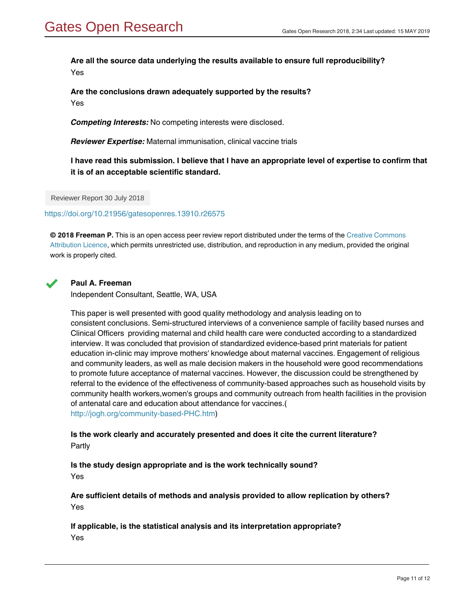# **Are all the source data underlying the results available to ensure full reproducibility?** Yes

**Are the conclusions drawn adequately supported by the results?** Yes

*Competing Interests:* No competing interests were disclosed.

*Reviewer Expertise:* Maternal immunisation, clinical vaccine trials

**I have read this submission. I believe that I have an appropriate level of expertise to confirm that it is of an acceptable scientific standard.**

Reviewer Report 30 July 2018

#### <https://doi.org/10.21956/gatesopenres.13910.r26575>

**© 2018 Freeman P.** This is an open access peer review report distributed under the terms of the [Creative Commons](https://creativecommons.org/licenses/by/4.0/) [Attribution Licence](https://creativecommons.org/licenses/by/4.0/), which permits unrestricted use, distribution, and reproduction in any medium, provided the original work is properly cited.



### **Paul A. Freeman**

Independent Consultant, Seattle, WA, USA

This paper is well presented with good quality methodology and analysis leading on to consistent conclusions. Semi-structured interviews of a convenience sample of facility based nurses and Clinical Officers providing maternal and child health care were conducted according to a standardized interview. It was concluded that provision of standardized evidence-based print materials for patient education in-clinic may improve mothers' knowledge about maternal vaccines. Engagement of religious and community leaders, as well as male decision makers in the household were good recommendations to promote future acceptance of maternal vaccines. However, the discussion could be strengthened by referral to the evidence of the effectiveness of community-based approaches such as household visits by community health workers,women's groups and community outreach from health facilities in the provision of antenatal care and education about attendance for vaccines.( [http://jogh.org/community-based-PHC.htm\)](http://jogh.org/community-based-PHC.htm)

**Is the work clearly and accurately presented and does it cite the current literature?** Partly

# **Is the study design appropriate and is the work technically sound?**

Yes

**Are sufficient details of methods and analysis provided to allow replication by others?** Yes

**Are all the source data underlying the results available to ensure full reproducibility?**

**If applicable, is the statistical analysis and its interpretation appropriate?** Yes